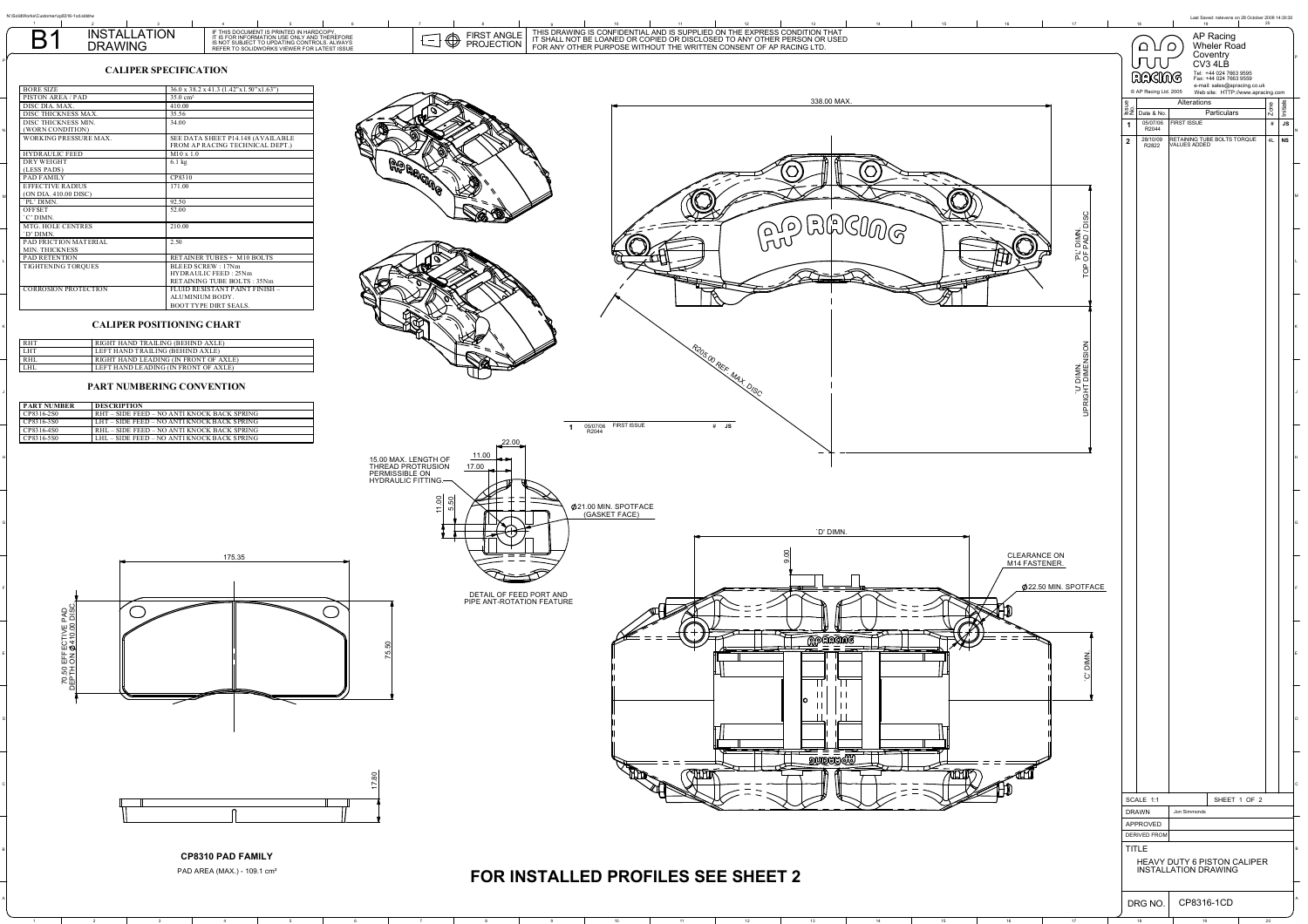